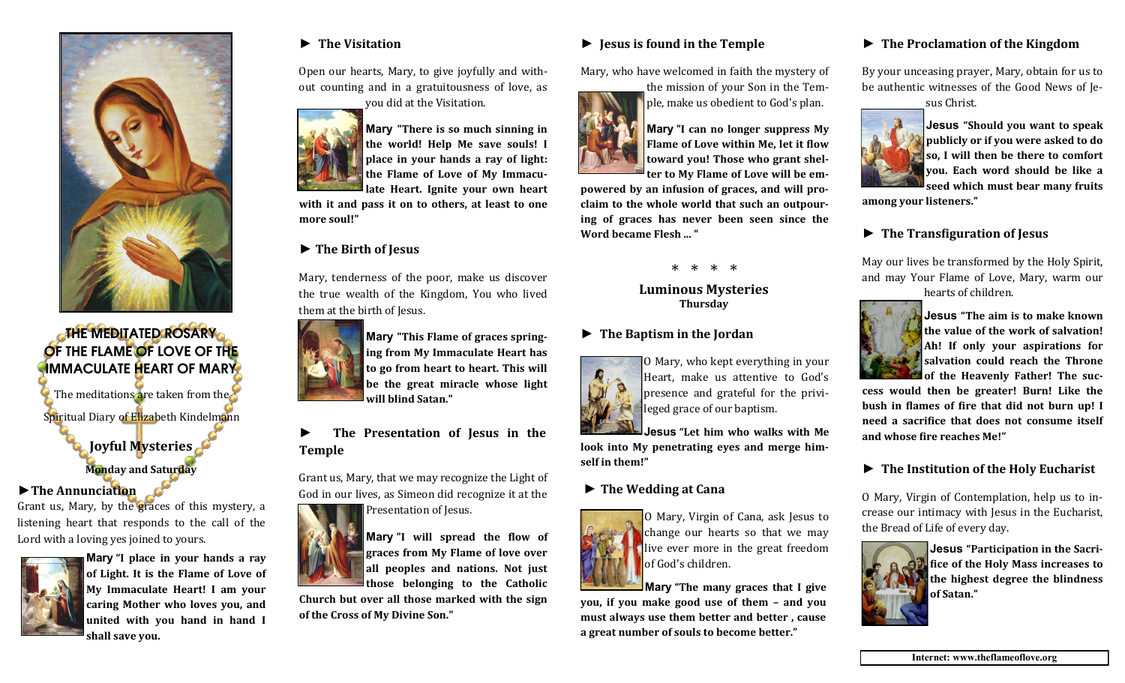

# THE MEDITATED ROSARY OF THE FLAME OF LOVE OF THE **IMMACULATE HEART OF MARY** The meditations are taken from the

Spiritual Diary of Elizabeth Kindelmann

**Joyful Mysteries**

**Monday and Saturday**

## **►The Annunciation**

Grant us, Mary, by the graces of this mystery, a listening heart that responds to the call of the Lord with a loving yes joined to yours.



**Mary "I place in your hands a ray of Light. It is the Flame of Love of My Immaculate Heart! I am your caring Mother who loves you, and united with you hand in hand I shall save you.**

## **► The Visitation**

Open our hearts, Mary, to give joyfully and without counting and in a gratuitousness of love, as you did at the Visitation.



**Mary "There is so much sinning in the world! Help Me save souls! I place in your hands a ray of light: the Flame of Love of My Immacu-**

**late Heart. Ignite your own heart with it and pass it on to others, at least to one more soul!"**

## **► The Birth of Jesus**

Mary, tenderness of the poor, make us discover the true wealth of the Kingdom, You who lived them at the birth of Jesus.



**Mary "This Flame of graces springing from My Immaculate Heart has to go from heart to heart. This will be the great miracle whose light will blind Satan."**

## **► The Presentation of Jesus in the Temple**

Grant us, Mary, that we may recognize the Light of God in our lives, as Simeon did recognize it at the



**Mary "I will spread the flow of graces from My Flame of love over all peoples and nations. Not just those belonging to the Catholic** 

**Church but over all those marked with the sign of the Cross of My Divine Son."** 

## **► Jesus is found in the Temple**

Mary, who have welcomed in faith the mystery of

the mission of your Son in the Temple, make us obedient to God's plan.



**Mary "I can no longer suppress My Flame of Love within Me, let it flow toward you! Those who grant shelter to My Flame of Love will be em-**

**powered by an infusion of graces, and will proclaim to the whole world that such an outpouring of graces has never been seen since the Word became Flesh ... "** 

\* \* \* \*

**Luminous Mysteries Thursday**

## **► The Baptism in the Jordan**



O Mary, who kept everything in your Heart, make us attentive to God's presence and grateful for the privileged grace of our baptism.

**Jesus "Let him who walks with Me look into My penetrating eyes and merge himself in them!"**

## **► The Wedding at Cana**



O Mary, Virgin of Cana, ask Jesus to change our hearts so that we may live ever more in the great freedom of God's children.

**Mary "The many graces that I give you, if you make good use of them – and you must always use them better and better , cause a great number of souls to become better."**

## **► The Proclamation of the Kingdom**

By your unceasing prayer, Mary, obtain for us to be authentic witnesses of the Good News of Je-

sus Christ.



**Jesus "Should you want to speak publicly or if you were asked to do so, I will then be there to comfort you. Each word should be like a seed which must bear many fruits** 

**among your listeners."**

## **► The Transfiguration of Jesus**

May our lives be transformed by the Holy Spirit, and may Your Flame of Love, Mary, warm our hearts of children.



**Jesus "The aim is to make known the value of the work of salvation! Ah! If only your aspirations for salvation could reach the Throne of the Heavenly Father! The suc-**

**cess would then be greater! Burn! Like the bush in flames of fire that did not burn up! I need a sacrifice that does not consume itself and whose fire reaches Me!"**

## **► The Institution of the Holy Eucharist**

O Mary, Virgin of Contemplation, help us to increase our intimacy with Jesus in the Eucharist, the Bread of Life of every day.



**Jesus "Participation in the Sacrifice of the Holy Mass increases to the highest degree the blindness of Satan."**